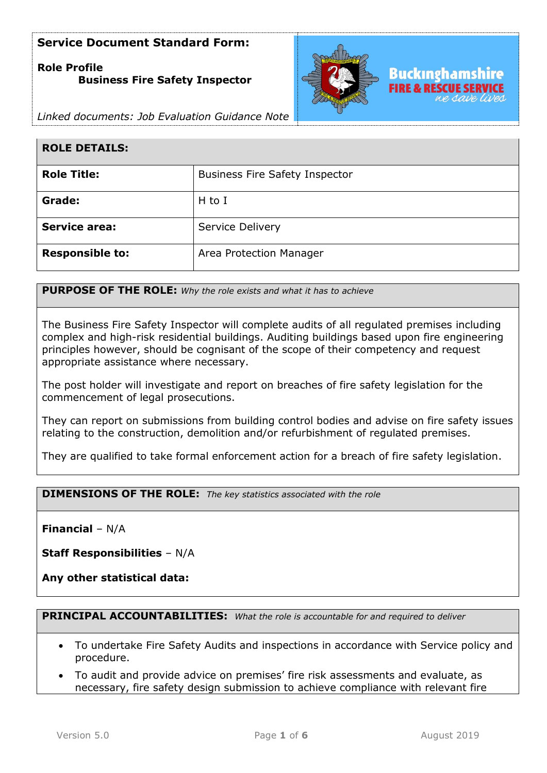# **Role Profile Business Fire Safety Inspector**



*Linked documents: Job Evaluation Guidance Note*

| <b>ROLE DETAILS:</b>   |                                       |
|------------------------|---------------------------------------|
| <b>Role Title:</b>     | <b>Business Fire Safety Inspector</b> |
| Grade:                 | $H$ to I                              |
| <b>Service area:</b>   | Service Delivery                      |
| <b>Responsible to:</b> | Area Protection Manager               |

**PURPOSE OF THE ROLE:** *Why the role exists and what it has to achieve* 

The Business Fire Safety Inspector will complete audits of all regulated premises including complex and high-risk residential buildings. Auditing buildings based upon fire engineering principles however, should be cognisant of the scope of their competency and request appropriate assistance where necessary.

The post holder will investigate and report on breaches of fire safety legislation for the commencement of legal prosecutions.

They can report on submissions from building control bodies and advise on fire safety issues relating to the construction, demolition and/or refurbishment of regulated premises.

They are qualified to take formal enforcement action for a breach of fire safety legislation.

**DIMENSIONS OF THE ROLE:** *The key statistics associated with the role*

**Financial** – N/A

**Staff Responsibilities** – N/A

**Any other statistical data:**

**PRINCIPAL ACCOUNTABILITIES:** *What the role is accountable for and required to deliver*

- To undertake Fire Safety Audits and inspections in accordance with Service policy and procedure.
- To audit and provide advice on premises' fire risk assessments and evaluate, as necessary, fire safety design submission to achieve compliance with relevant fire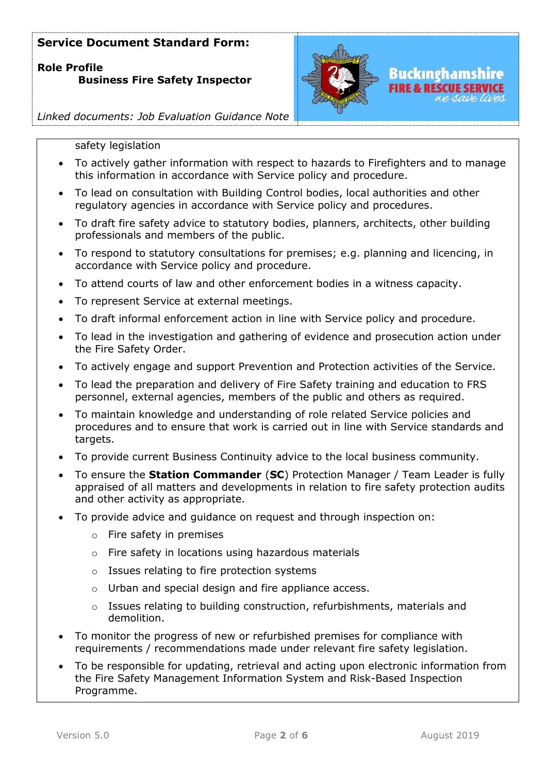**Role Profile Business Fire Safety Inspector**



*Linked documents: Job Evaluation Guidance Note*

#### safety legislation

- To actively gather information with respect to hazards to Firefighters and to manage this information in accordance with Service policy and procedure.
- To lead on consultation with Building Control bodies, local authorities and other regulatory agencies in accordance with Service policy and procedures.
- To draft fire safety advice to statutory bodies, planners, architects, other building professionals and members of the public.
- To respond to statutory consultations for premises; e.g. planning and licencing, in accordance with Service policy and procedure.
- To attend courts of law and other enforcement bodies in a witness capacity.
- To represent Service at external meetings.
- To draft informal enforcement action in line with Service policy and procedure.
- To lead in the investigation and gathering of evidence and prosecution action under the Fire Safety Order.
- To actively engage and support Prevention and Protection activities of the Service.
- To lead the preparation and delivery of Fire Safety training and education to FRS personnel, external agencies, members of the public and others as required.
- To maintain knowledge and understanding of role related Service policies and procedures and to ensure that work is carried out in line with Service standards and targets.
- To provide current Business Continuity advice to the local business community.
- To ensure the **Station Commander** (**SC**) Protection Manager / Team Leader is fully appraised of all matters and developments in relation to fire safety protection audits and other activity as appropriate.
- To provide advice and guidance on request and through inspection on:
	- o Fire safety in premises
	- o Fire safety in locations using hazardous materials
	- o Issues relating to fire protection systems
	- o Urban and special design and fire appliance access.
	- o Issues relating to building construction, refurbishments, materials and demolition.
- To monitor the progress of new or refurbished premises for compliance with requirements / recommendations made under relevant fire safety legislation.
- To be responsible for updating, retrieval and acting upon electronic information from the Fire Safety Management Information System and Risk-Based Inspection Programme.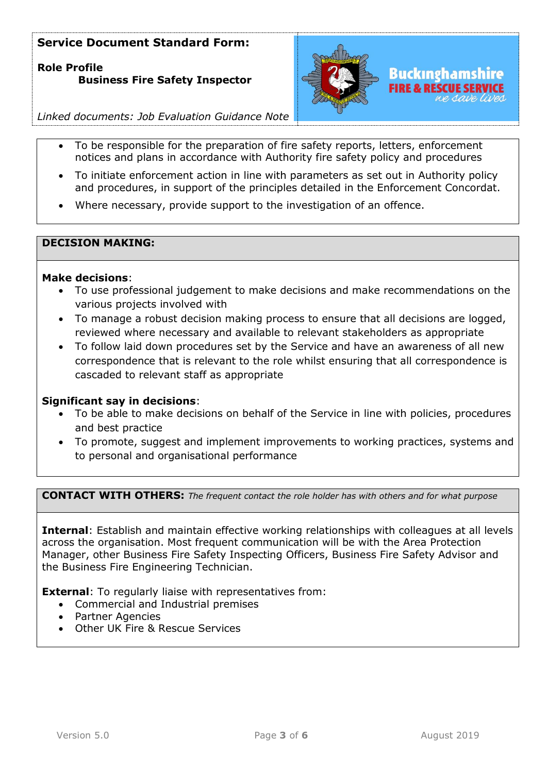**Role Profile Business Fire Safety Inspector**



*Linked documents: Job Evaluation Guidance Note*

- To be responsible for the preparation of fire safety reports, letters, enforcement notices and plans in accordance with Authority fire safety policy and procedures
- To initiate enforcement action in line with parameters as set out in Authority policy and procedures, in support of the principles detailed in the Enforcement Concordat.
- Where necessary, provide support to the investigation of an offence.

## **DECISION MAKING:**

## **Make decisions**:

- To use professional judgement to make decisions and make recommendations on the various projects involved with
- To manage a robust decision making process to ensure that all decisions are logged, reviewed where necessary and available to relevant stakeholders as appropriate
- To follow laid down procedures set by the Service and have an awareness of all new correspondence that is relevant to the role whilst ensuring that all correspondence is cascaded to relevant staff as appropriate

### **Significant say in decisions**:

- To be able to make decisions on behalf of the Service in line with policies, procedures and best practice
- To promote, suggest and implement improvements to working practices, systems and to personal and organisational performance

**CONTACT WITH OTHERS:** *The frequent contact the role holder has with others and for what purpose* 

**Internal**: Establish and maintain effective working relationships with colleagues at all levels across the organisation. Most frequent communication will be with the Area Protection Manager, other Business Fire Safety Inspecting Officers, Business Fire Safety Advisor and the Business Fire Engineering Technician.

**External**: To regularly liaise with representatives from:

- Commercial and Industrial premises
- Partner Agencies
- Other UK Fire & Rescue Services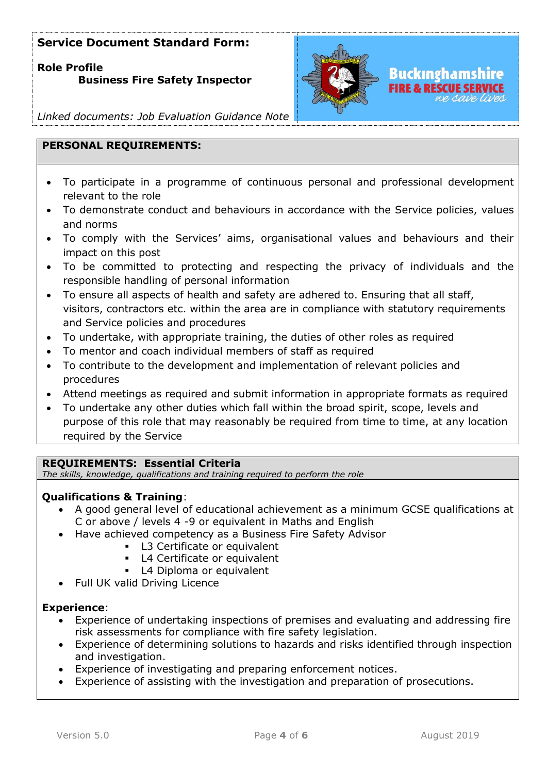**Role Profile** 

## **Business Fire Safety Inspector**



FIRE & RESCUE SERVICE

*Linked documents: Job Evaluation Guidance Note*

## **PERSONAL REQUIREMENTS:**

- To participate in a programme of continuous personal and professional development relevant to the role
- To demonstrate conduct and behaviours in accordance with the Service policies, values and norms
- To comply with the Services' aims, organisational values and behaviours and their impact on this post
- To be committed to protecting and respecting the privacy of individuals and the responsible handling of personal information
- To ensure all aspects of health and safety are adhered to. Ensuring that all staff, visitors, contractors etc. within the area are in compliance with statutory requirements and Service policies and procedures
- To undertake, with appropriate training, the duties of other roles as required
- To mentor and coach individual members of staff as required
- To contribute to the development and implementation of relevant policies and procedures
- Attend meetings as required and submit information in appropriate formats as required
- To undertake any other duties which fall within the broad spirit, scope, levels and purpose of this role that may reasonably be required from time to time, at any location required by the Service

## **REQUIREMENTS: Essential Criteria**

*The skills, knowledge, qualifications and training required to perform the role*

## **Qualifications & Training**:

- A good general level of educational achievement as a minimum GCSE qualifications at C or above / levels 4 -9 or equivalent in Maths and English
- Have achieved competency as a Business Fire Safety Advisor
	- L3 Certificate or equivalent
	- L4 Certificate or equivalent
	- L4 Diploma or equivalent
- Full UK valid Driving Licence

## **Experience**:

- Experience of undertaking inspections of premises and evaluating and addressing fire risk assessments for compliance with fire safety legislation.
- Experience of determining solutions to hazards and risks identified through inspection and investigation.
- Experience of investigating and preparing enforcement notices.
- Experience of assisting with the investigation and preparation of prosecutions.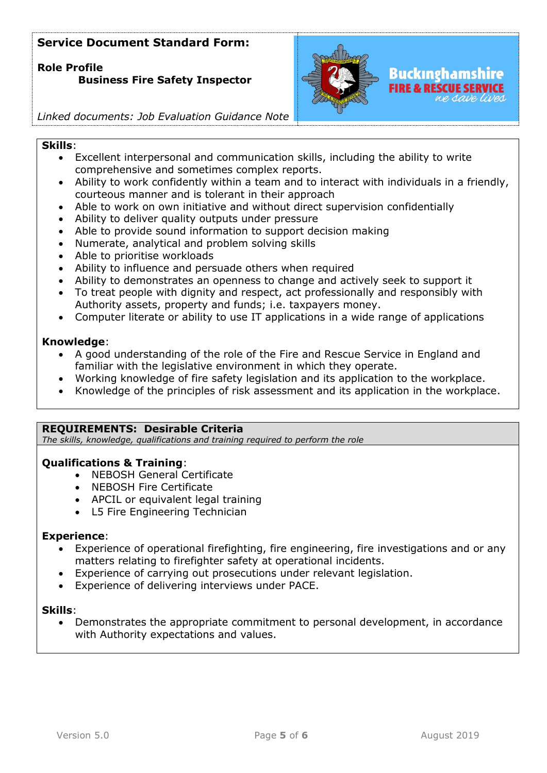**Role Profile** 

# **Business Fire Safety Inspector**



*Linked documents: Job Evaluation Guidance Note*

#### **Skills**:

- Excellent interpersonal and communication skills, including the ability to write comprehensive and sometimes complex reports.
- Ability to work confidently within a team and to interact with individuals in a friendly, courteous manner and is tolerant in their approach
- Able to work on own initiative and without direct supervision confidentially
- Ability to deliver quality outputs under pressure
- Able to provide sound information to support decision making
- Numerate, analytical and problem solving skills
- Able to prioritise workloads
- Ability to influence and persuade others when required
- Ability to demonstrates an openness to change and actively seek to support it
- To treat people with dignity and respect, act professionally and responsibly with Authority assets, property and funds; i.e. taxpayers money.
- Computer literate or ability to use IT applications in a wide range of applications

### **Knowledge**:

- A good understanding of the role of the Fire and Rescue Service in England and familiar with the legislative environment in which they operate.
- Working knowledge of fire safety legislation and its application to the workplace.
- Knowledge of the principles of risk assessment and its application in the workplace.

### **REQUIREMENTS: Desirable Criteria**

*The skills, knowledge, qualifications and training required to perform the role*

## **Qualifications & Training**:

- NEBOSH General Certificate
- NEBOSH Fire Certificate
- APCIL or equivalent legal training
- L5 Fire Engineering Technician

### **Experience**:

- Experience of operational firefighting, fire engineering, fire investigations and or any matters relating to firefighter safety at operational incidents.
- Experience of carrying out prosecutions under relevant legislation.
- Experience of delivering interviews under PACE.

#### **Skills**:

• Demonstrates the appropriate commitment to personal development, in accordance with Authority expectations and values.